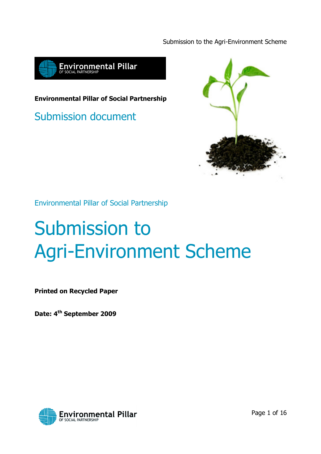Submission to the Agri-Environment Scheme



Environmental Pillar of Social Partnership

Submission document



Environmental Pillar of Social Partnership

# Submission to Agri-Environment Scheme

Printed on Recycled Paper

Date: 4<sup>th</sup> September 2009

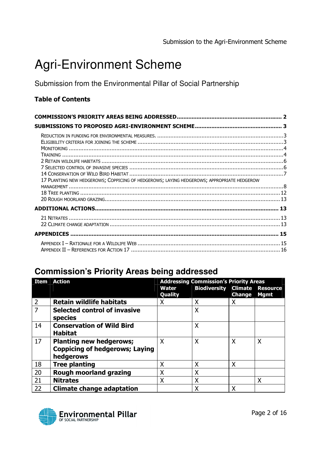# Agri-Environment Scheme

Submission from the Environmental Pillar of Social Partnership

#### Table of Contents

| 17 PLANTING NEW HEDGEROWS; COPPICING OF HEDGEROWS; LAYING HEDGEROWS; APPROPRIATE HEDGEROW |  |  |  |  |
|-------------------------------------------------------------------------------------------|--|--|--|--|
|                                                                                           |  |  |  |  |
|                                                                                           |  |  |  |  |
|                                                                                           |  |  |  |  |
|                                                                                           |  |  |  |  |
|                                                                                           |  |  |  |  |

# **Commission's Priority Areas being addressed**

| <b>Item</b>   | <b>Action</b>                         | <b>Addressing Commission's Priority Areas</b> |                             |               |                                |
|---------------|---------------------------------------|-----------------------------------------------|-----------------------------|---------------|--------------------------------|
|               |                                       | Water<br>Quality                              | <b>Biodiversity Climate</b> | <b>Change</b> | <b>Resource</b><br><b>Mgmt</b> |
| $\mathcal{P}$ | <b>Retain wildlife habitats</b>       | Χ                                             | Χ                           | Χ             |                                |
| 7             | <b>Selected control of invasive</b>   |                                               | X                           |               |                                |
|               | <b>species</b>                        |                                               |                             |               |                                |
| 14            | <b>Conservation of Wild Bird</b>      |                                               | Χ                           |               |                                |
|               | <b>Habitat</b>                        |                                               |                             |               |                                |
| 17            | <b>Planting new hedgerows;</b>        | X                                             | Χ                           | X             | X                              |
|               | <b>Coppicing of hedgerows; Laying</b> |                                               |                             |               |                                |
|               | hedgerows                             |                                               |                             |               |                                |
| 18            | <b>Tree planting</b>                  | Χ                                             | X                           | X             |                                |
| 20            | <b>Rough moorland grazing</b>         | Χ                                             | X                           |               |                                |
| 21            | <b>Nitrates</b>                       | X                                             | X                           |               | X                              |
| 22            | <b>Climate change adaptation</b>      |                                               | Χ                           | χ             |                                |

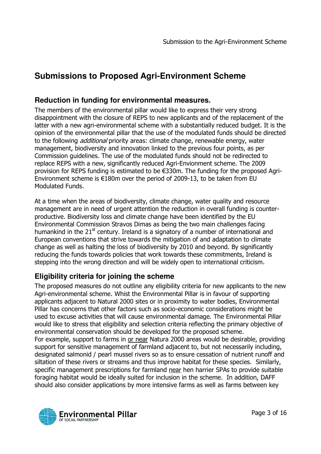# **Submissions to Proposed Agri-Environment Scheme**

#### **Reduction in funding for environmental measures.**

The members of the environmental pillar would like to express their very strong disappointment with the closure of REPS to new applicants and of the replacement of the latter with a new agri-environmental scheme with a substantially reduced budget. It is the opinion of the environmental pillar that the use of the modulated funds should be directed to the following *additional* priority areas: climate change, renewable energy, water management, biodiversity and innovation linked to the previous four points, as per Commission guidelines. The use of the modulated funds should not be redirected to replace REPS with a new, significantly reduced Agri-Envionment scheme. The 2009 provision for REPS funding is estimated to be €330m. The funding for the proposed Agri-Environment scheme is €180m over the period of 2009-13, to be taken from EU Modulated Funds.

At a time when the areas of biodiversity, climate change, water quality and resource management are in need of urgent attention the reduction in overall funding is counterproductive. Biodiversity loss and climate change have been identified by the EU Environmental Commission Stravos Dimas as being the two main challenges facing humankind in the  $21<sup>st</sup>$  century. Ireland is a signatory of a number of international and European conventions that strive towards the mitigation of and adaptation to climate change as well as halting the loss of biodiversity by 2010 and beyond. By significantly reducing the funds towards policies that work towards these commitments, Ireland is stepping into the wrong direction and will be widely open to international criticism.

#### **Eligibility criteria for joining the scheme**

The proposed measures do not outline any eligibility criteria for new applicants to the new Agri-environmental scheme. Whist the Environmental Pillar is in favour of supporting applicants adjacent to Natural 2000 sites or in proximity to water bodies, Environmental Pillar has concerns that other factors such as socio-economic considerations might be used to excuse activities that will cause environmental damage. The Environmental Pillar would like to stress that eligibility and selection criteria reflecting the primary objective of environmental conservation should be developed for the proposed scheme.

For example, support to farms in or near Natura 2000 areas would be desirable, providing support for sensitive management of farmland adjacent to, but not necessarily including, designated salmonid / pearl mussel rivers so as to ensure cessation of nutrient runoff and siltation of these rivers or streams and thus improve habitat for these species. Similarly, specific management prescriptions for farmland near hen harrier SPAs to provide suitable foraging habitat would be ideally suited for inclusion in the scheme. In addition, DAFF should also consider applications by more intensive farms as well as farms between key

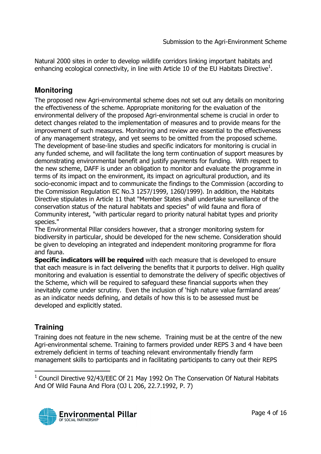Natural 2000 sites in order to develop wildlife corridors linking important habitats and enhancing ecological connectivity, in line with Article 10 of the EU Habitats Directive<sup>1</sup>.

#### **Monitoring**

The proposed new Agri-environmental scheme does not set out any details on monitoring the effectiveness of the scheme. Appropriate monitoring for the evaluation of the environmental delivery of the proposed Agri-environmental scheme is crucial in order to detect changes related to the implementation of measures and to provide means for the improvement of such measures. Monitoring and review are essential to the effectiveness of any management strategy, and yet seems to be omitted from the proposed scheme. The development of base-line studies and specific indicators for monitoring is crucial in any funded scheme, and will facilitate the long term continuation of support measures by demonstrating environmental benefit and justify payments for funding. With respect to the new scheme, DAFF is under an obligation to monitor and evaluate the programme in terms of its impact on the environment, its impact on agricultural production, and its socio-economic impact and to communicate the findings to the Commission (according to the Commission Regulation EC No.3 1257/1999, 1260/1999). In addition, the Habitats Directive stipulates in Article 11 that "Member States shall undertake surveillance of the conservation status of the natural habitats and species" of wild fauna and flora of Community interest, "with particular regard to priority natural habitat types and priority species."

The Environmental Pillar considers however, that a stronger monitoring system for biodiversity in particular, should be developed for the new scheme. Consideration should be given to developing an integrated and independent monitoring programme for flora and fauna.

**Specific indicators will be required** with each measure that is developed to ensure that each measure is in fact delivering the benefits that it purports to deliver. High quality monitoring and evaluation is essential to demonstrate the delivery of specific objectives of the Scheme, which will be required to safeguard these financial supports when they inevitably come under scrutiny. Even the inclusion of 'high nature value farmland areas' as an indicator needs defining, and details of how this is to be assessed must be developed and explicitly stated.

#### **Training**

-

Training does not feature in the new scheme. Training must be at the centre of the new Agri-environmental scheme. Training to farmers provided under REPS 3 and 4 have been extremely deficient in terms of teaching relevant environmentally friendly farm management skills to participants and in facilitating participants to carry out their REPS

 $1$  Council Directive 92/43/EEC Of 21 May 1992 On The Conservation Of Natural Habitats And Of Wild Fauna And Flora (OJ L 206, 22.7.1992, P. 7)

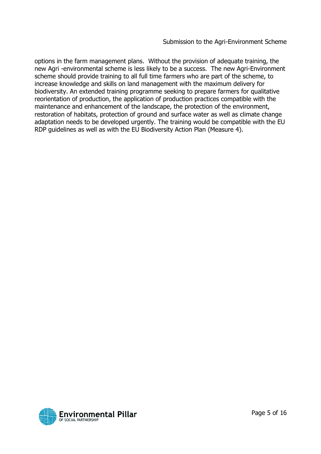options in the farm management plans. Without the provision of adequate training, the new Agri -environmental scheme is less likely to be a success. The new Agri-Environment scheme should provide training to all full time farmers who are part of the scheme, to increase knowledge and skills on land management with the maximum delivery for biodiversity. An extended training programme seeking to prepare farmers for qualitative reorientation of production, the application of production practices compatible with the maintenance and enhancement of the landscape, the protection of the environment, restoration of habitats, protection of ground and surface water as well as climate change adaptation needs to be developed urgently. The training would be compatible with the EU RDP guidelines as well as with the EU Biodiversity Action Plan (Measure 4).

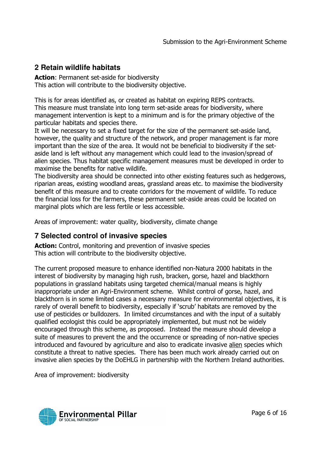#### **2 Retain wildlife habitats**

Action: Permanent set-aside for biodiversity This action will contribute to the biodiversity objective.

This is for areas identified as, or created as habitat on expiring REPS contracts. This measure must translate into long term set-aside areas for biodiversity, where management intervention is kept to a minimum and is for the primary objective of the particular habitats and species there.

It will be necessary to set a fixed target for the size of the permanent set-aside land, however, the quality and structure of the network, and proper management is far more important than the size of the area. It would not be beneficial to biodiversity if the setaside land is left without any management which could lead to the invasion/spread of alien species. Thus habitat specific management measures must be developed in order to maximise the benefits for native wildlife.

The biodiversity area should be connected into other existing features such as hedgerows, riparian areas, existing woodland areas, grassland areas etc. to maximise the biodiversity benefit of this measure and to create corridors for the movement of wildlife. To reduce the financial loss for the farmers, these permanent set-aside areas could be located on marginal plots which are less fertile or less accessible.

Areas of improvement: water quality, biodiversity, climate change

#### **7 Selected control of invasive species**

Action: Control, monitoring and prevention of invasive species This action will contribute to the biodiversity objective.

The current proposed measure to enhance identified non-Natura 2000 habitats in the interest of biodiversity by managing high rush, bracken, gorse, hazel and blackthorn populations in grassland habitats using targeted chemical/manual means is highly inappropriate under an Agri-Environment scheme. Whilst control of gorse, hazel, and blackthorn is in some limited cases a necessary measure for environmental objectives, it is rarely of overall benefit to biodiversity, especially if 'scrub' habitats are removed by the use of pesticides or bulldozers. In limited circumstances and with the input of a suitably qualified ecologist this could be appropriately implemented, but must not be widely encouraged through this scheme, as proposed. Instead the measure should develop a suite of measures to prevent the and the occurrence or spreading of non-native species introduced and favoured by agriculture and also to eradicate invasive alien species which constitute a threat to native species. There has been much work already carried out on invasive alien species by the DoEHLG in partnership with the Northern Ireland authorities.

Area of improvement: biodiversity

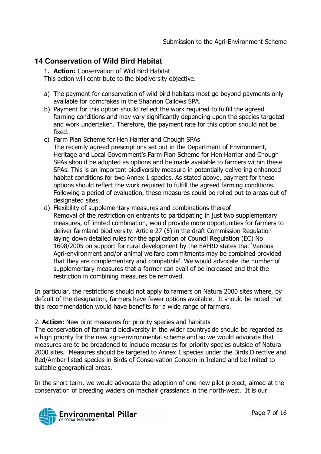#### **14 Conservation of Wild Bird Habitat**

1. Action: Conservation of Wild Bird Habitat

This action will contribute to the biodiversity objective.

- a) The payment for conservation of wild bird habitats most go beyond payments only available for corncrakes in the Shannon Callows SPA.
- b) Payment for this option should reflect the work required to fulfill the agreed farming conditions and may vary significantly depending upon the species targeted and work undertaken. Therefore, the payment rate for this option should not be fixed.
- c) Farm Plan Scheme for Hen Harrier and Chough SPAs The recently agreed prescriptions set out in the Department of Environment, Heritage and Local Government's Farm Plan Scheme for Hen Harrier and Chough SPAs should be adopted as options and be made available to farmers within these SPAs. This is an important biodiversity measure in potentially delivering enhanced habitat conditions for two Annex 1 species. As stated above, payment for these options should reflect the work required to fulfill the agreed farming conditions. Following a period of evaluation, these measures could be rolled out to areas out of designated sites.
- d) Flexibility of supplementary measures and combinations thereof Removal of the restriction on entrants to participating in just two supplementary measures, of limited combination, would provide more opportunities for farmers to deliver farmland biodiversity. Article 27 (5) in the draft Commission Regulation laying down detailed rules for the application of Council Regulation (EC) No 1698/2005 on support for rural development by the EAFRD states that 'Various Agri-environment and/or animal welfare commitments may be combined provided that they are complementary and compatible'. We would advocate the number of supplementary measures that a farmer can avail of be increased and that the restriction in combining measures be removed.

In particular, the restrictions should not apply to farmers on Natura 2000 sites where, by default of the designation, farmers have fewer options available. It should be noted that this recommendation would have benefits for a wide range of farmers.

#### 2. **Action:** New pilot measures for priority species and habitats

The conservation of farmland biodiversity in the wider countryside should be regarded as a high priority for the new agri-environmental scheme and so we would advocate that measures are to be broadened to include measures for priority species outside of Natura 2000 sites. Measures should be targeted to Annex 1 species under the Birds Directive and Red/Amber listed species in Birds of Conservation Concern in Ireland and be limited to suitable geographical areas.

In the short term, we would advocate the adoption of one new pilot project, aimed at the conservation of breeding waders on machair grasslands in the north-west. It is our

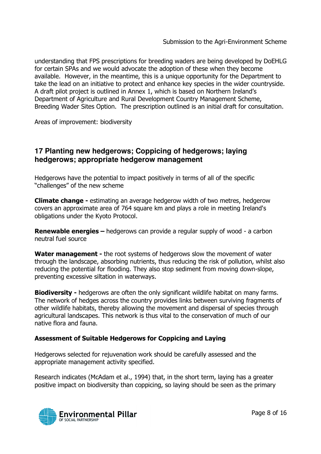understanding that FPS prescriptions for breeding waders are being developed by DoEHLG for certain SPAs and we would advocate the adoption of these when they become available. However, in the meantime, this is a unique opportunity for the Department to take the lead on an initiative to protect and enhance key species in the wider countryside. A draft pilot project is outlined in Annex 1, which is based on Northern Ireland's Department of Agriculture and Rural Development Country Management Scheme, Breeding Wader Sites Option. The prescription outlined is an initial draft for consultation.

Areas of improvement: biodiversity

#### **17 Planting new hedgerows; Coppicing of hedgerows; laying hedgerows; appropriate hedgerow management**

Hedgerows have the potential to impact positively in terms of all of the specific "challenges" of the new scheme

**Climate change - estimating an average hedgerow width of two metres, hedgerow** covers an approximate area of 764 square km and plays a role in meeting Ireland's obligations under the Kyoto Protocol.

Renewable energies – hedgerows can provide a regular supply of wood - a carbon neutral fuel source

**Water management -** the root systems of hedgerows slow the movement of water through the landscape, absorbing nutrients, thus reducing the risk of pollution, whilst also reducing the potential for flooding. They also stop sediment from moving down-slope, preventing excessive siltation in waterways.

**Biodiversity -** hedgerows are often the only significant wildlife habitat on many farms. The network of hedges across the country provides links between surviving fragments of other wildlife habitats, thereby allowing the movement and dispersal of species through agricultural landscapes. This network is thus vital to the conservation of much of our native flora and fauna.

#### Assessment of Suitable Hedgerows for Coppicing and Laying

Hedgerows selected for rejuvenation work should be carefully assessed and the appropriate management activity specified.

Research indicates (McAdam et al., 1994) that, in the short term, laying has a greater positive impact on biodiversity than coppicing, so laying should be seen as the primary

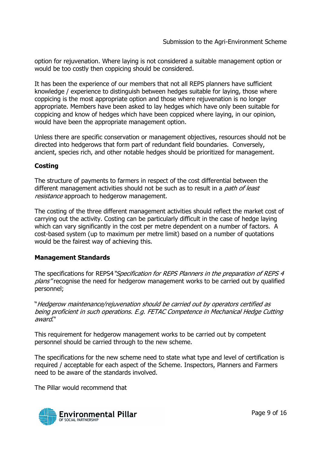option for rejuvenation. Where laying is not considered a suitable management option or would be too costly then coppicing should be considered.

It has been the experience of our members that not all REPS planners have sufficient knowledge / experience to distinguish between hedges suitable for laying, those where coppicing is the most appropriate option and those where rejuvenation is no longer appropriate. Members have been asked to lay hedges which have only been suitable for coppicing and know of hedges which have been coppiced where laying, in our opinion, would have been the appropriate management option.

Unless there are specific conservation or management objectives, resources should not be directed into hedgerows that form part of redundant field boundaries. Conversely, ancient, species rich, and other notable hedges should be prioritized for management.

#### **Costing**

The structure of payments to farmers in respect of the cost differential between the different management activities should not be such as to result in a *path of least* resistance approach to hedgerow management.

The costing of the three different management activities should reflect the market cost of carrying out the activity. Costing can be particularly difficult in the case of hedge laying which can vary significantly in the cost per metre dependent on a number of factors. A cost-based system (up to maximum per metre limit) based on a number of quotations would be the fairest way of achieving this.

#### Management Standards

The specifications for REPS4 "Specification for REPS Planners in the preparation of REPS 4 plans" recognise the need for hedgerow management works to be carried out by qualified personnel;

"Hedgerow maintenance/rejuvenation should be carried out by operators certified as being proficient in such operations. E.g. FETAC Competence in Mechanical Hedge Cutting award."

This requirement for hedgerow management works to be carried out by competent personnel should be carried through to the new scheme.

The specifications for the new scheme need to state what type and level of certification is required / acceptable for each aspect of the Scheme. Inspectors, Planners and Farmers need to be aware of the standards involved.

The Pillar would recommend that

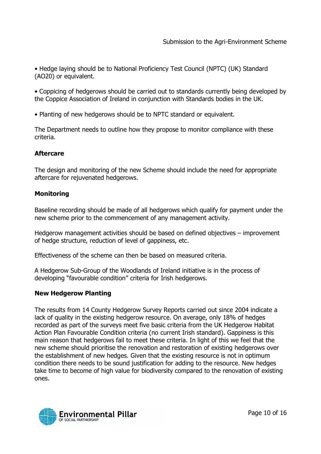• Hedge laying should be to National Proficiency Test Council (NPTC) (UK) Standard (AO20) or equivalent.

• Coppicing of hedgerows should be carried out to standards currently being developed by the Coppice Association of Ireland in conjunction with Standards bodies in the UK.

• Planting of new hedgerows should be to NPTC standard or equivalent.

The Department needs to outline how they propose to monitor compliance with these criteria.

#### **Aftercare**

The design and monitoring of the new Scheme should include the need for appropriate aftercare for rejuvenated hedgerows.

#### **Monitoring**

Baseline recording should be made of all hedgerows which qualify for payment under the new scheme prior to the commencement of any management activity.

Hedgerow management activities should be based on defined objectives – improvement of hedge structure, reduction of level of gappiness, etc.

Effectiveness of the scheme can then be based on measured criteria.

A Hedgerow Sub-Group of the Woodlands of Ireland initiative is in the process of developing "favourable condition" criteria for Irish hedgerows.

#### New Hedgerow Planting

The results from 14 County Hedgerow Survey Reports carried out since 2004 indicate a lack of quality in the existing hedgerow resource. On average, only 18% of hedges recorded as part of the surveys meet five basic criteria from the UK Hedgerow Habitat Action Plan Favourable Condition criteria (no current Irish standard). Gappiness is this main reason that hedgerows fail to meet these criteria. In light of this we feel that the new scheme should prioritise the renovation and restoration of existing hedgerows over the establishment of new hedges. Given that the existing resource is not in optimum condition there needs to be sound justification for adding to the resource. New hedges take time to become of high value for biodiversity compared to the renovation of existing ones.

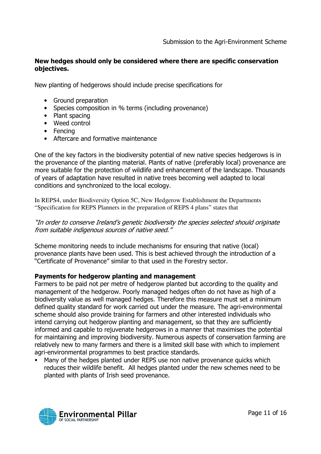#### New hedges should only be considered where there are specific conservation objectives.

New planting of hedgerows should include precise specifications for

- Ground preparation
- Species composition in % terms (including provenance)
- Plant spacing
- Weed control
- Fencing
- Aftercare and formative maintenance

One of the key factors in the biodiversity potential of new native species hedgerows is in the provenance of the planting material. Plants of native (preferably local) provenance are more suitable for the protection of wildlife and enhancement of the landscape. Thousands of years of adaptation have resulted in native trees becoming well adapted to local conditions and synchronized to the local ecology.

In REPS4, under Biodiversity Option 5C, New Hedgerow Establishment the Departments "Specification for REPS Planners in the preparation of REPS 4 plans" states that

"In order to conserve Ireland's genetic biodiversity the species selected should originate from suitable indigenous sources of native seed."

Scheme monitoring needs to include mechanisms for ensuring that native (local) provenance plants have been used. This is best achieved through the introduction of a "Certificate of Provenance" similar to that used in the Forestry sector.

#### Payments for hedgerow planting and management

Farmers to be paid not per metre of hedgerow planted but according to the quality and management of the hedgerow. Poorly managed hedges often do not have as high of a biodiversity value as well managed hedges. Therefore this measure must set a minimum defined quality standard for work carried out under the measure. The agri-environmental scheme should also provide training for farmers and other interested individuals who intend carrying out hedgerow planting and management, so that they are sufficiently informed and capable to rejuvenate hedgerows in a manner that maximises the potential for maintaining and improving biodiversity. Numerous aspects of conservation farming are relatively new to many farmers and there is a limited skill base with which to implement agri-environmental programmes to best practice standards.

**Many of the hedges planted under REPS use non native provenance quicks which** reduces their wildlife benefit. All hedges planted under the new schemes need to be planted with plants of Irish seed provenance.

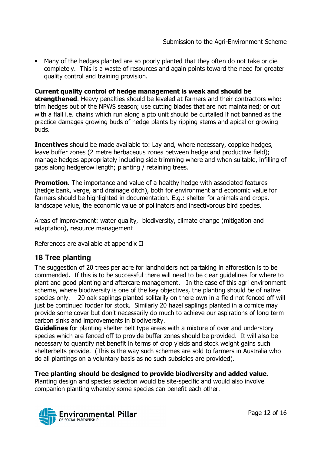Many of the hedges planted are so poorly planted that they often do not take or die completely. This is a waste of resources and again points toward the need for greater quality control and training provision.

Current quality control of hedge management is weak and should be strengthened. Heavy penalties should be leveled at farmers and their contractors who: trim hedges out of the NPWS season; use cutting blades that are not maintained; or cut with a flail i.e. chains which run along a pto unit should be curtailed if not banned as the practice damages growing buds of hedge plants by ripping stems and apical or growing buds.

**Incentives** should be made available to: Lay and, where necessary, coppice hedges, leave buffer zones (2 metre herbaceous zones between hedge and productive field); manage hedges appropriately including side trimming where and when suitable, infilling of gaps along hedgerow length; planting / retaining trees.

**Promotion.** The importance and value of a healthy hedge with associated features (hedge bank, verge, and drainage ditch), both for environment and economic value for farmers should be highlighted in documentation. E.g.: shelter for animals and crops, landscape value, the economic value of pollinators and insectivorous bird species.

Areas of improvement: water quality, biodiversity, climate change (mitigation and adaptation), resource management

References are available at appendix II

#### **18 Tree planting**

The suggestion of 20 trees per acre for landholders not partaking in afforestion is to be commended. If this is to be successful there will need to be clear guidelines for where to plant and good planting and aftercare management. In the case of this agri environment scheme, where biodiversity is one of the key objectives, the planting should be of native species only. 20 oak saplings planted solitarily on there own in a field not fenced off will just be continued fodder for stock. Similarly 20 hazel saplings planted in a cornice may provide some cover but don't necessarily do much to achieve our aspirations of long term carbon sinks and improvements in biodiversity.

**Guidelines** for planting shelter belt type areas with a mixture of over and understory species which are fenced off to provide buffer zones should be provided. It will also be necessary to quantify net benefit in terms of crop yields and stock weight gains such shelterbelts provide. (This is the way such schemes are sold to farmers in Australia who do all plantings on a voluntary basis as no such subsidies are provided).

#### Tree planting should be designed to provide biodiversity and added value.

Planting design and species selection would be site-specific and would also involve companion planting whereby some species can benefit each other.

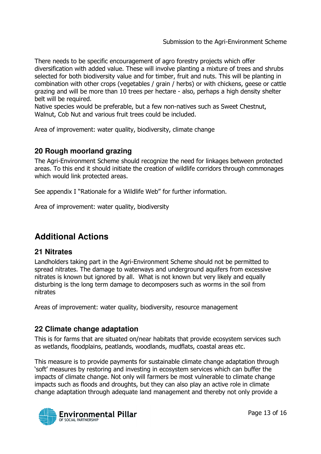There needs to be specific encouragement of agro forestry projects which offer diversification with added value. These will involve planting a mixture of trees and shrubs selected for both biodiversity value and for timber, fruit and nuts. This will be planting in combination with other crops (vegetables / grain / herbs) or with chickens, geese or cattle grazing and will be more than 10 trees per hectare - also, perhaps a high density shelter belt will be required.

Native species would be preferable, but a few non-natives such as Sweet Chestnut, Walnut, Cob Nut and various fruit trees could be included.

Area of improvement: water quality, biodiversity, climate change

#### **20 Rough moorland grazing**

The Agri-Environment Scheme should recognize the need for linkages between protected areas. To this end it should initiate the creation of wildlife corridors through commonages which would link protected areas.

See appendix I "Rationale for a Wildlife Web" for further information.

Area of improvement: water quality, biodiversity

## **Additional Actions**

#### **21 Nitrates**

Landholders taking part in the Agri-Environment Scheme should not be permitted to spread nitrates. The damage to waterways and underground aquifers from excessive nitrates is known but ignored by all. What is not known but very likely and equally disturbing is the long term damage to decomposers such as worms in the soil from nitrates

Areas of improvement: water quality, biodiversity, resource management

#### **22 Climate change adaptation**

This is for farms that are situated on/near habitats that provide ecosystem services such as wetlands, floodplains, peatlands, woodlands, mudflats, coastal areas etc.

This measure is to provide payments for sustainable climate change adaptation through 'soft' measures by restoring and investing in ecosystem services which can buffer the impacts of climate change. Not only will farmers be most vulnerable to climate change impacts such as floods and droughts, but they can also play an active role in climate change adaptation through adequate land management and thereby not only provide a

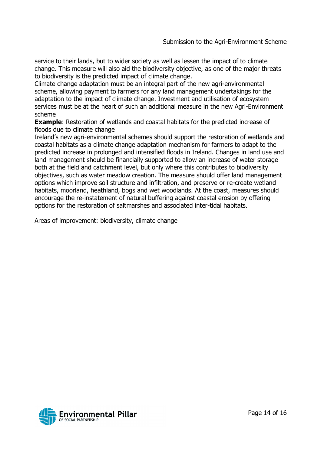service to their lands, but to wider society as well as lessen the impact of to climate change. This measure will also aid the biodiversity objective, as one of the major threats to biodiversity is the predicted impact of climate change.

Climate change adaptation must be an integral part of the new agri-environmental scheme, allowing payment to farmers for any land management undertakings for the adaptation to the impact of climate change. Investment and utilisation of ecosystem services must be at the heart of such an additional measure in the new Agri-Environment scheme

**Example:** Restoration of wetlands and coastal habitats for the predicted increase of floods due to climate change

Ireland's new agri-environmental schemes should support the restoration of wetlands and coastal habitats as a climate change adaptation mechanism for farmers to adapt to the predicted increase in prolonged and intensified floods in Ireland. Changes in land use and land management should be financially supported to allow an increase of water storage both at the field and catchment level, but only where this contributes to biodiversity objectives, such as water meadow creation. The measure should offer land management options which improve soil structure and infiltration, and preserve or re-create wetland habitats, moorland, heathland, bogs and wet woodlands. At the coast, measures should encourage the re-instatement of natural buffering against coastal erosion by offering options for the restoration of saltmarshes and associated inter-tidal habitats.

Areas of improvement: biodiversity, climate change

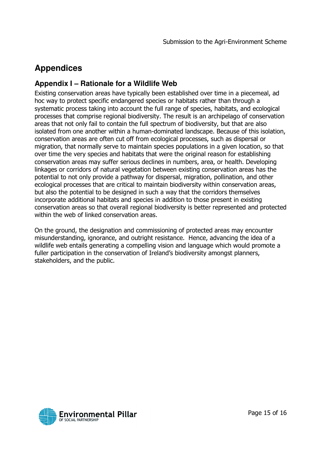# **Appendices**

#### **Appendix I – Rationale for a Wildlife Web**

Existing conservation areas have typically been established over time in a piecemeal, ad hoc way to protect specific endangered species or habitats rather than through a systematic process taking into account the full range of species, habitats, and ecological processes that comprise regional biodiversity. The result is an archipelago of conservation areas that not only fail to contain the full spectrum of biodiversity, but that are also isolated from one another within a human-dominated landscape. Because of this isolation, conservation areas are often cut off from ecological processes, such as dispersal or migration, that normally serve to maintain species populations in a given location, so that over time the very species and habitats that were the original reason for establishing conservation areas may suffer serious declines in numbers, area, or health. Developing linkages or corridors of natural vegetation between existing conservation areas has the potential to not only provide a pathway for dispersal, migration, pollination, and other ecological processes that are critical to maintain biodiversity within conservation areas, but also the potential to be designed in such a way that the corridors themselves incorporate additional habitats and species in addition to those present in existing conservation areas so that overall regional biodiversity is better represented and protected within the web of linked conservation areas.

On the ground, the designation and commissioning of protected areas may encounter misunderstanding, ignorance, and outright resistance. Hence, advancing the idea of a wildlife web entails generating a compelling vision and language which would promote a fuller participation in the conservation of Ireland's biodiversity amongst planners, stakeholders, and the public.